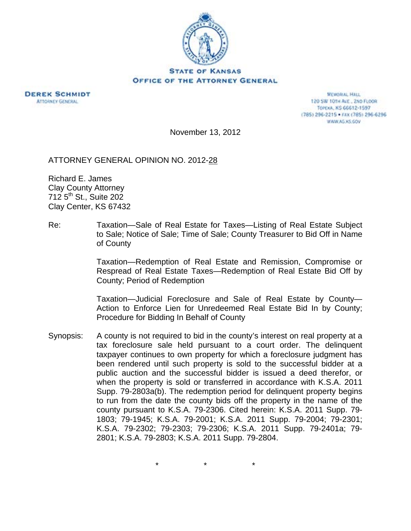

**DEREK SCHMIDT ATTORNEY GENERAL** 

**MEMORIAL HALL** 120 SW 101H ALE., 2ND FLOOR TOPEXA, KS 66612-1597 (785) 296-2215 · FAX (785) 296-6296 WWW.AG.XS.GOV

November 13, 2012

ATTORNEY GENERAL OPINION NO. 2012-28

Richard E. James Clay County Attorney 712 5<sup>th</sup> St., Suite 202 Clay Center, KS 67432

Re: Taxation—Sale of Real Estate for Taxes—Listing of Real Estate Subject to Sale; Notice of Sale; Time of Sale; County Treasurer to Bid Off in Name of County

> Taxation—Redemption of Real Estate and Remission, Compromise or Respread of Real Estate Taxes—Redemption of Real Estate Bid Off by County; Period of Redemption

> Taxation—Judicial Foreclosure and Sale of Real Estate by County— Action to Enforce Lien for Unredeemed Real Estate Bid In by County; Procedure for Bidding In Behalf of County

Synopsis: A county is not required to bid in the county's interest on real property at a tax foreclosure sale held pursuant to a court order. The delinquent taxpayer continues to own property for which a foreclosure judgment has been rendered until such property is sold to the successful bidder at a public auction and the successful bidder is issued a deed therefor, or when the property is sold or transferred in accordance with K.S.A. 2011 Supp. 79-2803a(b). The redemption period for delinquent property begins to run from the date the county bids off the property in the name of the county pursuant to K.S.A. 79-2306. Cited herein: K.S.A. 2011 Supp. 79- 1803; 79-1945; K.S.A. 79-2001; K.S.A. 2011 Supp. 79-2004; 79-2301; K.S.A. 79-2302; 79-2303; 79-2306; K.S.A. 2011 Supp. 79-2401a; 79- 2801; K.S.A. 79-2803; K.S.A. 2011 Supp. 79-2804.

\* \* \*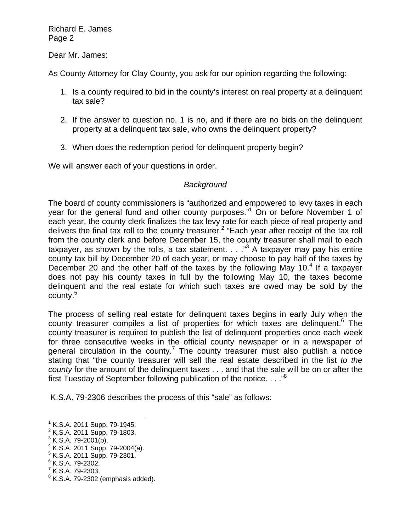Dear Mr. James:

As County Attorney for Clay County, you ask for our opinion regarding the following:

- 1. Is a county required to bid in the county's interest on real property at a delinquent tax sale?
- 2. If the answer to question no. 1 is no, and if there are no bids on the delinquent property at a delinquent tax sale, who owns the delinquent property?
- 3. When does the redemption period for delinquent property begin?

We will answer each of your questions in order.

## *Background*

The board of county commissioners is "authorized and empowered to levy taxes in each year for the general fund and other county purposes."<sup>1</sup> On or before November 1 of each year, the county clerk finalizes the tax levy rate for each piece of real property and delivers the final tax roll to the county treasurer.<sup>2</sup> "Each year after receipt of the tax roll from the county clerk and before December 15, the county treasurer shall mail to each taxpayer, as shown by the rolls, a tax statement.  $\ldots$ <sup>3</sup> A taxpayer may pay his entire county tax bill by December 20 of each year, or may choose to pay half of the taxes by December 20 and the other half of the taxes by the following May 10. $4$  If a taxpayer does not pay his county taxes in full by the following May 10, the taxes become delinquent and the real estate for which such taxes are owed may be sold by the county.<sup>5</sup>

The process of selling real estate for delinquent taxes begins in early July when the county treasurer compiles a list of properties for which taxes are delinquent.<sup>6</sup> The county treasurer is required to publish the list of delinquent properties once each week for three consecutive weeks in the official county newspaper or in a newspaper of general circulation in the county.<sup>7</sup> The county treasurer must also publish a notice stating that "the county treasurer will sell the real estate described in the list *to the county* for the amount of the delinquent taxes . . . and that the sale will be on or after the first Tuesday of September following publication of the notice. . . ."8

K.S.A. 79-2306 describes the process of this "sale" as follows:

 $\overline{a}$ 

<sup>1</sup> K.S.A. 2011 Supp. 79-1945.

<sup>&</sup>lt;sup>2</sup> K.S.A. 2011 Supp. 79-1803.

 $3$  K.S.A. 79-2001(b).

<sup>4</sup> K.S.A. 2011 Supp. 79-2004(a).

<sup>5</sup> K.S.A. 2011 Supp. 79-2301.

<sup>&</sup>lt;sup>6</sup> K.S.A. 79-2302.

 $7$  K.S.A. 79-2303.

 $8$  K.S.A. 79-2302 (emphasis added).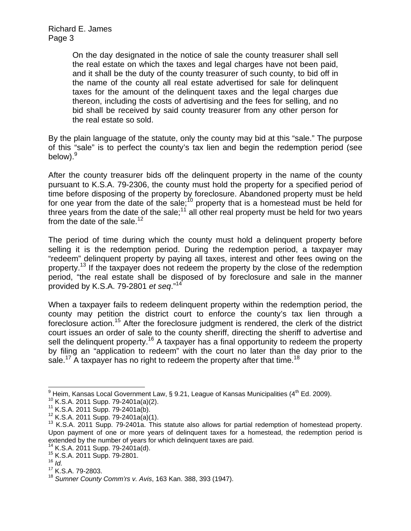> On the day designated in the notice of sale the county treasurer shall sell the real estate on which the taxes and legal charges have not been paid, and it shall be the duty of the county treasurer of such county, to bid off in the name of the county all real estate advertised for sale for delinquent taxes for the amount of the delinquent taxes and the legal charges due thereon, including the costs of advertising and the fees for selling, and no bid shall be received by said county treasurer from any other person for the real estate so sold.

By the plain language of the statute, only the county may bid at this "sale." The purpose of this "sale" is to perfect the county's tax lien and begin the redemption period (see below). $^9$ 

After the county treasurer bids off the delinquent property in the name of the county pursuant to K.S.A. 79-2306, the county must hold the property for a specified period of time before disposing of the property by foreclosure. Abandoned property must be held for one year from the date of the sale;<sup>10</sup> property that is a homestead must be held for three years from the date of the sale;<sup>11</sup> all other real property must be held for two years from the date of the sale.<sup>12</sup>

The period of time during which the county must hold a delinquent property before selling it is the redemption period. During the redemption period, a taxpayer may "redeem" delinquent property by paying all taxes, interest and other fees owing on the property.<sup>13</sup> If the taxpayer does not redeem the property by the close of the redemption period, "the real estate shall be disposed of by foreclosure and sale in the manner provided by K.S.A. 79-2801 *et seq*."14

When a taxpayer fails to redeem delinquent property within the redemption period, the county may petition the district court to enforce the county's tax lien through a foreclosure action.<sup>15</sup> After the foreclosure judgment is rendered, the clerk of the district court issues an order of sale to the county sheriff, directing the sheriff to advertise and sell the delinquent property.<sup>16</sup> A taxpayer has a final opportunity to redeem the property by filing an "application to redeem" with the court no later than the day prior to the sale.<sup>17</sup> A taxpayer has no right to redeem the property after that time.<sup>18</sup>

<sup>-&</sup>lt;br>9

<sup>&</sup>lt;sup>10</sup> K.S.A. 2011 Supp. 79-2401a(a)(2).<br><sup>11</sup> K.S.A. 2011 Supp. 79-2401a(b).<br><sup>12</sup> K.S.A. 2011 Supp. 79-2401a(a)(1).<br><sup>13</sup> K.S.A. 2011 Supp. 79-2401a. This statute also allows for partial redemption of homestead property. Upon payment of one or more years of delinquent taxes for a homestead, the redemption period is extended by the number of years for which delinquent taxes are paid.  $^{14}$  K.S.A. 2011 Supp. 79-2401a(d).

<sup>15</sup> K.S.A. 2011 Supp. 79-2801.<br><sup>16</sup> *Id.* 17 K.S.A. 79-2803.

<sup>18</sup> *Sumner County Comm'rs v. Avis*, 163 Kan. 388, 393 (1947).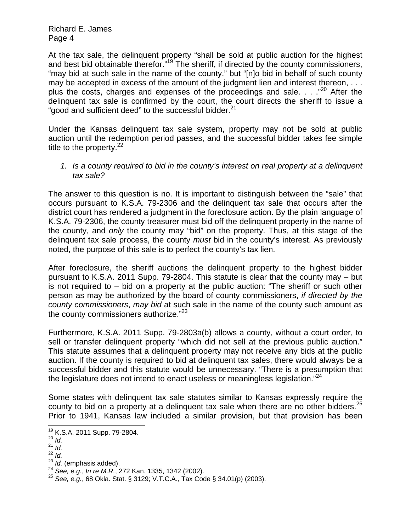At the tax sale, the delinquent property "shall be sold at public auction for the highest and best bid obtainable therefor."<sup>19</sup> The sheriff, if directed by the county commissioners, "may bid at such sale in the name of the county," but "[n]o bid in behalf of such county may be accepted in excess of the amount of the judgment lien and interest thereon, . . . plus the costs, charges and expenses of the proceedings and sale.  $\ldots$  .<sup>20</sup> After the delinquent tax sale is confirmed by the court, the court directs the sheriff to issue a "good and sufficient deed" to the successful bidder. $21$ 

Under the Kansas delinquent tax sale system, property may not be sold at public auction until the redemption period passes, and the successful bidder takes fee simple title to the property. $22$ 

*1. Is a county required to bid in the county's interest on real property at a delinquent tax sale?* 

The answer to this question is no. It is important to distinguish between the "sale" that occurs pursuant to K.S.A. 79-2306 and the delinquent tax sale that occurs after the district court has rendered a judgment in the foreclosure action. By the plain language of K.S.A. 79-2306, the county treasurer must bid off the delinquent property in the name of the county, and *only* the county may "bid" on the property. Thus, at this stage of the delinquent tax sale process, the county *must* bid in the county's interest. As previously noted, the purpose of this sale is to perfect the county's tax lien.

After foreclosure, the sheriff auctions the delinquent property to the highest bidder pursuant to K.S.A. 2011 Supp. 79-2804. This statute is clear that the county may – but is not required to – bid on a property at the public auction: "The sheriff or such other person as may be authorized by the board of county commissioners, *if directed by the county commissioners*, *may bid* at such sale in the name of the county such amount as the county commissioners authorize."<sup>23</sup>

Furthermore, K.S.A. 2011 Supp. 79-2803a(b) allows a county, without a court order, to sell or transfer delinquent property "which did not sell at the previous public auction." This statute assumes that a delinquent property may not receive any bids at the public auction. If the county is required to bid at delinquent tax sales, there would always be a successful bidder and this statute would be unnecessary. "There is a presumption that the legislature does not intend to enact useless or meaningless legislation. $"^{24}$ 

Some states with delinquent tax sale statutes similar to Kansas expressly require the county to bid on a property at a delinguent tax sale when there are no other bidders. $^{25}$ Prior to 1941, Kansas law included a similar provision, but that provision has been

 $\overline{a}$ 

<sup>&</sup>lt;sup>19</sup> K.S.A. 2011 Supp. 79-2804*.*<br><sup>20</sup> *Id.*<br><sup>21</sup> *Id.* 

 $\frac{21}{22}$  *Id.*<br> $\frac{22}{24}$  *Id.* (emphasis added).

<sup>&</sup>lt;sup>24</sup> *See, e.g., In re M.R., 272 Kan. 1335, 1342 (2002).*<br><sup>25</sup> *See, e.g., 68 Okla. Stat. § 3129; V.T.C.A., Tax Code § 34.01(p) (2003).*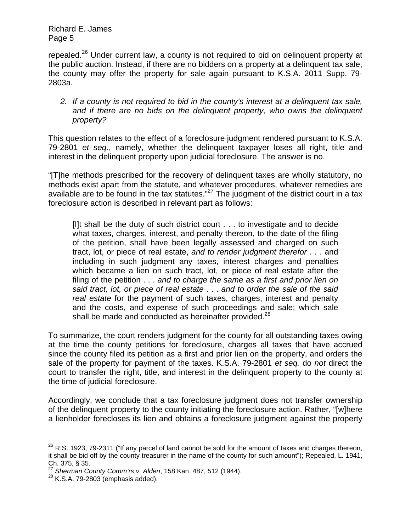repealed.<sup>26</sup> Under current law, a county is not required to bid on delinguent property at the public auction. Instead, if there are no bidders on a property at a delinquent tax sale, the county may offer the property for sale again pursuant to K.S.A. 2011 Supp. 79- 2803a.

*2. If a county is not required to bid in the county's interest at a delinquent tax sale, and if there are no bids on the delinquent property, who owns the delinquent property?* 

This question relates to the effect of a foreclosure judgment rendered pursuant to K.S.A. 79-2801 *et seq.*, namely, whether the delinquent taxpayer loses all right, title and interest in the delinquent property upon judicial foreclosure. The answer is no.

"[T]he methods prescribed for the recovery of delinquent taxes are wholly statutory, no methods exist apart from the statute, and whatever procedures, whatever remedies are available are to be found in the tax statutes. $^{27}$  The judgment of the district court in a tax foreclosure action is described in relevant part as follows:

[I]t shall be the duty of such district court . . . to investigate and to decide what taxes, charges, interest, and penalty thereon, to the date of the filing of the petition, shall have been legally assessed and charged on such tract, lot, or piece of real estate, *and to render judgment therefor* . . . and including in such judgment any taxes, interest charges and penalties which became a lien on such tract, lot, or piece of real estate after the filing of the petition . . . *and to charge the same as a first and prior lien on said tract, lot, or piece of real estate* . . . *and to order the sale of the said real estate* for the payment of such taxes, charges, interest and penalty and the costs, and expense of such proceedings and sale; which sale shall be made and conducted as hereinafter provided. $^{28}$ 

To summarize, the court renders judgment for the county for all outstanding taxes owing at the time the county petitions for foreclosure, charges all taxes that have accrued since the county filed its petition as a first and prior lien on the property, and orders the sale of the property for payment of the taxes. K.S.A. 79-2801 *et seq.* do *not* direct the court to transfer the right, title, and interest in the delinquent property to the county at the time of judicial foreclosure.

Accordingly, we conclude that a tax foreclosure judgment does not transfer ownership of the delinquent property to the county initiating the foreclosure action. Rather, "[w]here a lienholder forecloses its lien and obtains a foreclosure judgment against the property

 $\overline{a}$ 

 $^{26}$  R.S. 1923, 79-2311 ("If any parcel of land cannot be sold for the amount of taxes and charges thereon, it shall be bid off by the county treasurer in the name of the county for such amount"); Repealed, L. 1941, Ch. 375, § 35.

<sup>&</sup>lt;sup>27</sup> Sherman County Comm'rs v. Alden, 158 Kan. 487, 512 (1944).<br><sup>28</sup> K.S.A. 79-2803 (emphasis added).